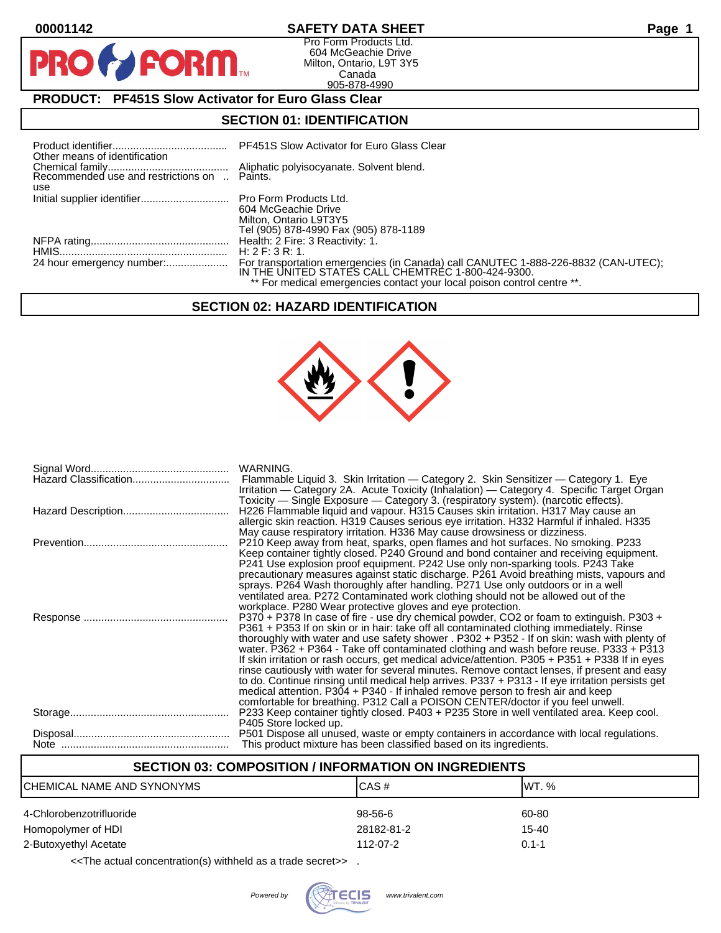PF

#### **00001142 SAFETY DATA SHEET Page 1**

Pro Form Products Ltd. 604 McGeachie Drive Milton, Ontario, L9T 3Y5 Canada 905-878-4990

# **PRODUCT: PF451S Slow Activator for Euro Glass Clear**

**FORM** 

## **SECTION 01: IDENTIFICATION**

| Other means of identification                       | PF451S Slow Activator for Euro Glass Clear                                                                                               |
|-----------------------------------------------------|------------------------------------------------------------------------------------------------------------------------------------------|
| Recommended use and restrictions on  Paints.<br>use | Aliphatic polyisocyanate. Solvent blend.                                                                                                 |
|                                                     | 604 McGeachie Drive<br>Milton, Ontario L9T3Y5<br>Tel (905) 878-4990 Fax (905) 878-1189                                                   |
|                                                     |                                                                                                                                          |
|                                                     | H: 2 F: 3 R: 1.                                                                                                                          |
|                                                     | For transportation emergencies (in Canada) call CANUTEC 1-888-226-8832 (CAN-UTEC);<br>IN THE UNITED STATES CALL CHEMTREC 1-800-424-9300. |
|                                                     | ** For medical emergencies contact your local poison control centre **.                                                                  |

# **SECTION 02: HAZARD IDENTIFICATION**



| Hazard Classification | WARNING.<br>Flammable Liquid 3. Skin Irritation — Category 2. Skin Sensitizer — Category 1. Eye<br>Irritation — Category 2A. Acute Toxicity (Inhalation) — Category 4. Specific Target Organ                                                                                                                                                                                                                                                                                                                                                                                                                                                                                                                                                                                                                                                             |
|-----------------------|----------------------------------------------------------------------------------------------------------------------------------------------------------------------------------------------------------------------------------------------------------------------------------------------------------------------------------------------------------------------------------------------------------------------------------------------------------------------------------------------------------------------------------------------------------------------------------------------------------------------------------------------------------------------------------------------------------------------------------------------------------------------------------------------------------------------------------------------------------|
|                       | Toxicity — Single Exposure — Category 3. (respiratory system). (narcotic effects).<br>H226 Flammable liquid and vapour. H315 Causes skin irritation. H317 May cause an<br>allergic skin reaction. H319 Causes serious eye irritation. H332 Harmful if inhaled. H335<br>May cause respiratory irritation. H336 May cause drowsiness or dizziness.                                                                                                                                                                                                                                                                                                                                                                                                                                                                                                         |
|                       | P210 Keep away from heat, sparks, open flames and hot surfaces. No smoking. P233<br>Keep container tightly closed. P240 Ground and bond container and receiving equipment.<br>P241 Use explosion proof equipment. P242 Use only non-sparking tools. P243 Take<br>precautionary measures against static discharge. P261 Avoid breathing mists, vapours and<br>sprays. P264 Wash thoroughly after handling. P271 Use only outdoors or in a well<br>ventilated area. P272 Contaminated work clothing should not be allowed out of the<br>workplace. P280 Wear protective gloves and eye protection.                                                                                                                                                                                                                                                         |
|                       | P370 + P378 In case of fire - use dry chemical powder, CO2 or foam to extinguish. P303 +<br>P361 + P353 If on skin or in hair: take off all contaminated clothing immediately. Rinse<br>thoroughly with water and use safety shower . P302 + P352 - If on skin: wash with plenty of<br>water. P362 + P364 - Take off contaminated clothing and wash before reuse. P333 + P313<br>If skin irritation or rash occurs, get medical advice/attention. P305 + P351 + P338 If in eyes<br>rinse cautiously with water for several minutes. Remove contact lenses, if present and easy<br>to do. Continue rinsing until medical help arrives. P337 + P313 - If eye irritation persists get<br>medical attention. P304 + P340 - If inhaled remove person to fresh air and keep<br>comfortable for breathing. P312 Call a POISON CENTER/doctor if you feel unwell. |
|                       | P233 Keep container tightly closed. P403 + P235 Store in well ventilated area. Keep cool.<br>P405 Store locked up.                                                                                                                                                                                                                                                                                                                                                                                                                                                                                                                                                                                                                                                                                                                                       |
|                       | P501 Dispose all unused, waste or empty containers in accordance with local regulations.<br>This product mixture has been classified based on its ingredients.                                                                                                                                                                                                                                                                                                                                                                                                                                                                                                                                                                                                                                                                                           |

# **SECTION 03: COMPOSITION / INFORMATION ON INGREDIENTS** CHEMICAL NAME AND SYNONYMS CAS # CAS # WT. % 4-Chlorobenzotrifluoride 60-80 and the state of the control of the 98-56-6 60-80 and 60-80 Homopolymer of HDI 28182-81-2 15-40 2-Butoxyethyl Acetate 112-07-2 0.1-1

<<The actual concentration(s) withheld as a trade secret>> .

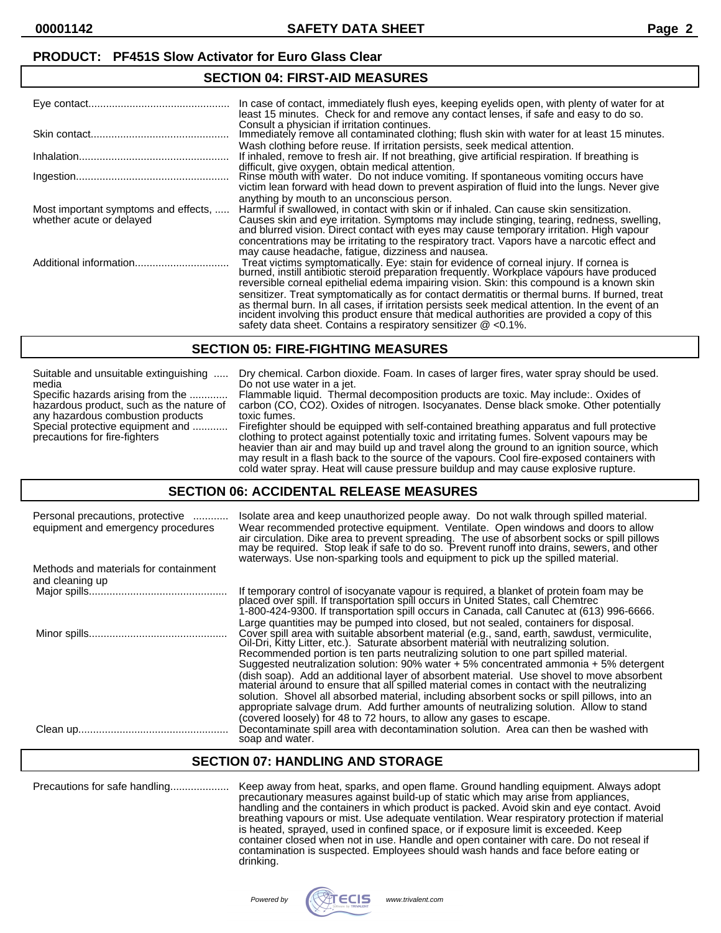# **SECTION 04: FIRST-AID MEASURES**

|                                                                  | In case of contact, immediately flush eyes, keeping eyelids open, with plenty of water for at<br>least 15 minutes. Check for and remove any contact lenses, if safe and easy to do so.                                                                                                                                                                                                                                                  |
|------------------------------------------------------------------|-----------------------------------------------------------------------------------------------------------------------------------------------------------------------------------------------------------------------------------------------------------------------------------------------------------------------------------------------------------------------------------------------------------------------------------------|
|                                                                  | Consult a physician if irritation continues.<br>Immediately remove all contaminated clothing; flush skin with water for at least 15 minutes.<br>Wash clothing before reuse. If irritation persists, seek medical attention.                                                                                                                                                                                                             |
|                                                                  | If inhaled, remove to fresh air. If not breathing, give artificial respiration. If breathing is                                                                                                                                                                                                                                                                                                                                         |
|                                                                  | difficult, give oxygen, obtain medical attention.<br>Rinse mouth with water. Do not induce vomiting. If spontaneous vomiting occurs have<br>victim lean forward with head down to prevent aspiration of fluid into the lungs. Never give                                                                                                                                                                                                |
| Most important symptoms and effects,<br>whether acute or delayed | anything by mouth to an unconscious person.<br>Harmful if swallowed, in contact with skin or if inhaled. Can cause skin sensitization.<br>Causes skin and eye irritation. Symptoms may include stinging, tearing, redness, swelling,<br>and blurred vision. Direct contact with eyes may cause temporary irritation. High vapour                                                                                                        |
|                                                                  | concentrations may be irritating to the respiratory tract. Vapors have a narcotic effect and<br>may cause headache, fatique, dizziness and nausea.<br>Treat victims symptomatically. Eye: stain for evidence of corneal injury. If cornea is<br>burned, instill antibiotic steroid preparation frequently. Workplace vapours have produced<br>reversible corneal epithelial edema impairing vision. Skin: this compound is a known skin |
|                                                                  | sensitizer. Treat symptomatically as for contact dermatitis or thermal burns. If burned, treat<br>as thermal burn. In all cases, if irritation persists seek medical attention. In the event of an<br>incident involving this product ensure that medical authorities are provided a copy of this<br>safety data sheet. Contains a respiratory sensitizer $\omega$ <0.1%.                                                               |

#### **SECTION 05: FIRE-FIGHTING MEASURES**

| Suitable and unsuitable extinguishing                             | Dry chemical. Carbon dioxide. Foam. In cases of larger fires, water spray should be used.                                                                                                                                                                                                                                                                                                                                                                                   |
|-------------------------------------------------------------------|-----------------------------------------------------------------------------------------------------------------------------------------------------------------------------------------------------------------------------------------------------------------------------------------------------------------------------------------------------------------------------------------------------------------------------------------------------------------------------|
| media                                                             | Do not use water in a jet.                                                                                                                                                                                                                                                                                                                                                                                                                                                  |
| Specific hazards arising from the                                 | Flammable liquid. Thermal decomposition products are toxic. May include: Oxides of                                                                                                                                                                                                                                                                                                                                                                                          |
| hazardous product, such as the nature of                          | carbon (CO, CO2). Oxides of nitrogen. Isocyanates. Dense black smoke. Other potentially                                                                                                                                                                                                                                                                                                                                                                                     |
| any hazardous combustion products                                 | toxic fumes.                                                                                                                                                                                                                                                                                                                                                                                                                                                                |
| Special protective equipment and<br>precautions for fire-fighters | Firefighter should be equipped with self-contained breathing apparatus and full protective<br>clothing to protect against potentially toxic and irritating fumes. Solvent vapours may be<br>heavier than air and may build up and travel along the ground to an ignition source, which<br>may result in a flash back to the source of the vapours. Cool fire-exposed containers with<br>cold water spray. Heat will cause pressure buildup and may cause explosive rupture. |

#### **SECTION 06: ACCIDENTAL RELEASE MEASURES**

| Personal precautions, protective<br>equipment and emergency procedures | Isolate area and keep unauthorized people away. Do not walk through spilled material.<br>Wear recommended protective equipment. Ventilate. Open windows and doors to allow<br>air circulation. Dike area to prevent spreading. The use of absorbent socks or spill pillows may be required. Stop leak if safe to do so. Prevent runoff into drains, sewers, and other<br>waterways. Use non-sparking tools and equipment to pick up the spilled material.                                                                                                                                                                                                                                                                                                                                                                                           |
|------------------------------------------------------------------------|-----------------------------------------------------------------------------------------------------------------------------------------------------------------------------------------------------------------------------------------------------------------------------------------------------------------------------------------------------------------------------------------------------------------------------------------------------------------------------------------------------------------------------------------------------------------------------------------------------------------------------------------------------------------------------------------------------------------------------------------------------------------------------------------------------------------------------------------------------|
| Methods and materials for containment<br>and cleaning up               |                                                                                                                                                                                                                                                                                                                                                                                                                                                                                                                                                                                                                                                                                                                                                                                                                                                     |
|                                                                        | If temporary control of isocyanate vapour is required, a blanket of protein foam may be<br>placed over spill. If transportation spill occurs in United States, call Chemtrec<br>1-800-424-9300. If transportation spill occurs in Canada, call Canutec at (613) 996-6666.                                                                                                                                                                                                                                                                                                                                                                                                                                                                                                                                                                           |
|                                                                        | Large quantities may be pumped into closed, but not sealed, containers for disposal.<br>Cover spill area with suitable absorbent material (e.g., sand, earth, sawdust, vermiculite,<br>Oil-Dri, Kitty Litter, etc.). Saturate absorbent material with neutralizing solution.<br>Recommended portion is ten parts neutralizing solution to one part spilled material.<br>Suggested neutralization solution: $90\%$ water + 5% concentrated ammonia + 5% detergent<br>(dish soap). Add an additional layer of absorbent material. Use shovel to move absorbent<br>material around to ensure that all spilled material comes in contact with the neutralizing<br>solution. Shovel all absorbed material, including absorbent socks or spill pillows, into an<br>appropriate salvage drum. Add further amounts of neutralizing solution. Allow to stand |
|                                                                        | (covered loosely) for 48 to 72 hours, to allow any gases to escape.<br>Decontaminate spill area with decontamination solution. Area can then be washed with<br>soap and water.                                                                                                                                                                                                                                                                                                                                                                                                                                                                                                                                                                                                                                                                      |

## **SECTION 07: HANDLING AND STORAGE**

Precautions for safe handling.................... Keep away from heat, sparks, and open flame. Ground handling equipment. Always adopt precautionary measures against build-up of static which may arise from appliances, handling and the containers in which product is packed. Avoid skin and eye contact. Avoid breathing vapours or mist. Use adequate ventilation. Wear respiratory protection if material is heated, sprayed, used in confined space, or if exposure limit is exceeded. Keep container closed when not in use. Handle and open container with care. Do not reseal if contamination is suspected. Employees should wash hands and face before eating or drinking.

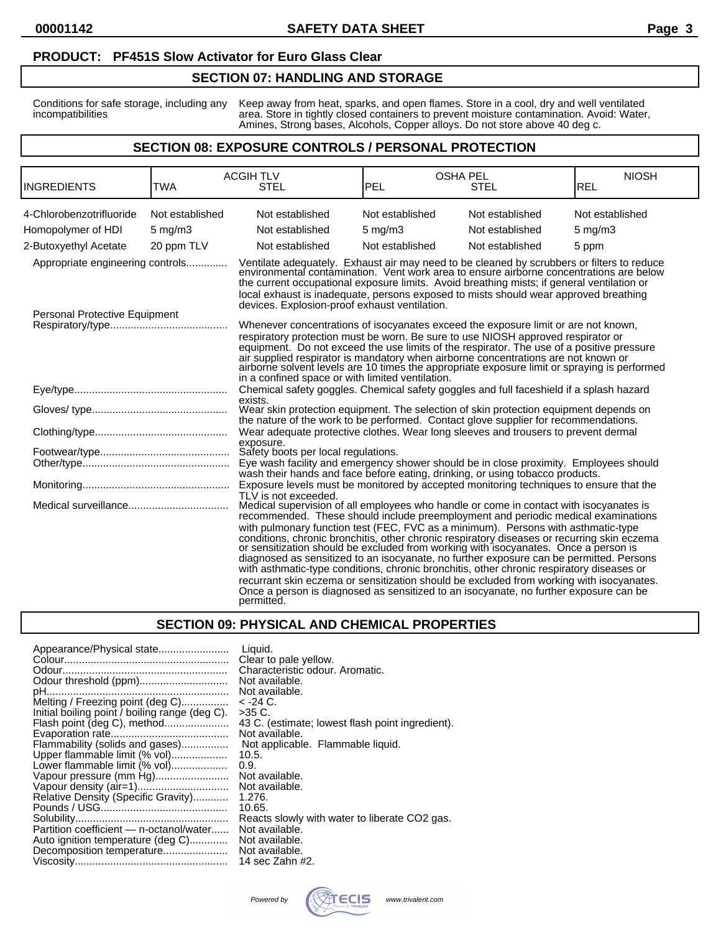#### **PRODUCT: PF451S Slow Activator for Euro Glass Clear**

#### **SECTION 07: HANDLING AND STORAGE**

Conditions for safe storage, including any Keep away from heat, sparks, and open flames. Store in a cool, dry and well ventilated incompatibilities area. Store in tightly closed containers to prevent moisture contamination. Avoid: Water, Amines, Strong bases, Alcohols, Copper alloys. Do not store above 40 deg c.

#### **SECTION 08: EXPOSURE CONTROLS / PERSONAL PROTECTION**

| <b>INGREDIENTS</b>                                                | TWA              | <b>ACGIH TLV</b><br><b>STEL</b>                                                                                                                                                                                                                                                                                                                                                                                                                                                                                                                                                                                                                                                                                                                                                                                                                                        | <b>OSHA PEL</b><br><b>PEL</b> | STEL            | <b>NIOSH</b><br><b>REL</b> |
|-------------------------------------------------------------------|------------------|------------------------------------------------------------------------------------------------------------------------------------------------------------------------------------------------------------------------------------------------------------------------------------------------------------------------------------------------------------------------------------------------------------------------------------------------------------------------------------------------------------------------------------------------------------------------------------------------------------------------------------------------------------------------------------------------------------------------------------------------------------------------------------------------------------------------------------------------------------------------|-------------------------------|-----------------|----------------------------|
| 4-Chlorobenzotrifluoride                                          | Not established  | Not established                                                                                                                                                                                                                                                                                                                                                                                                                                                                                                                                                                                                                                                                                                                                                                                                                                                        | Not established               | Not established | Not established            |
| Homopolymer of HDI                                                | $5 \text{ mg/m}$ | Not established                                                                                                                                                                                                                                                                                                                                                                                                                                                                                                                                                                                                                                                                                                                                                                                                                                                        | $5 \text{ mg/m}$ 3            | Not established | $5 \text{ mg/m}$           |
| 2-Butoxyethyl Acetate                                             | 20 ppm TLV       | Not established                                                                                                                                                                                                                                                                                                                                                                                                                                                                                                                                                                                                                                                                                                                                                                                                                                                        | Not established               | Not established | 5 ppm                      |
| Appropriate engineering controls<br>Personal Protective Equipment |                  | Ventilate adequately. Exhaust air may need to be cleaned by scrubbers or filters to reduce environmental contamination. Vent work area to ensure airborne concentrations are below<br>the current occupational exposure limits. Avoid breathing mists; if general ventilation or<br>local exhaust is inadequate, persons exposed to mists should wear approved breathing<br>devices. Explosion-proof exhaust ventilation.                                                                                                                                                                                                                                                                                                                                                                                                                                              |                               |                 |                            |
|                                                                   |                  | Whenever concentrations of isocyanates exceed the exposure limit or are not known,<br>respiratory protection must be worn. Be sure to use NIOSH approved respirator or<br>equipment. Do not exceed the use limits of the respirator. The use of a positive pressure<br>air supplied respirator is mandatory when airborne concentrations are not known or<br>airborne solvent levels are 10 times the appropriate exposure limit or spraying is performed<br>in a confined space or with limited ventilation.                                                                                                                                                                                                                                                                                                                                                          |                               |                 |                            |
|                                                                   |                  | Chemical safety goggles. Chemical safety goggles and full faceshield if a splash hazard<br>exists.                                                                                                                                                                                                                                                                                                                                                                                                                                                                                                                                                                                                                                                                                                                                                                     |                               |                 |                            |
|                                                                   |                  | Wear skin protection equipment. The selection of skin protection equipment depends on<br>the nature of the work to be performed. Contact glove supplier for recommendations.                                                                                                                                                                                                                                                                                                                                                                                                                                                                                                                                                                                                                                                                                           |                               |                 |                            |
|                                                                   |                  | Wear adequate protective clothes. Wear long sleeves and trousers to prevent dermal                                                                                                                                                                                                                                                                                                                                                                                                                                                                                                                                                                                                                                                                                                                                                                                     |                               |                 |                            |
|                                                                   |                  | exposure.<br>Safety boots per local regulations.<br>Eye wash facility and emergency shower should be in close proximity. Employees should<br>wash their hands and face before eating, drinking, or using tobacco products.                                                                                                                                                                                                                                                                                                                                                                                                                                                                                                                                                                                                                                             |                               |                 |                            |
|                                                                   |                  | Exposure levels must be monitored by accepted monitoring techniques to ensure that the                                                                                                                                                                                                                                                                                                                                                                                                                                                                                                                                                                                                                                                                                                                                                                                 |                               |                 |                            |
|                                                                   |                  | TLV is not exceeded.<br>Medical supervision of all employees who handle or come in contact with isocyanates is<br>recommended. These should include preemployment and periodic medical examinations<br>with pulmonary function test (FEC, FVC as a minimum). Persons with asthmatic-type<br>conditions, chronic bronchitis, other chronic respiratory diseases or recurring skin eczema or sensitization should be excluded from working with isocyanates. Once a person is<br>diagnosed as sensitized to an isocyanate, no further exposure can be permitted. Persons<br>with asthmatic-type conditions, chronic bronchitis, other chronic respiratory diseases or<br>recurrant skin eczema or sensitization should be excluded from working with isocyanates.<br>Once a person is diagnosed as sensitized to an isocyanate, no further exposure can be<br>permitted. |                               |                 |                            |

#### **SECTION 09: PHYSICAL AND CHEMICAL PROPERTIES**

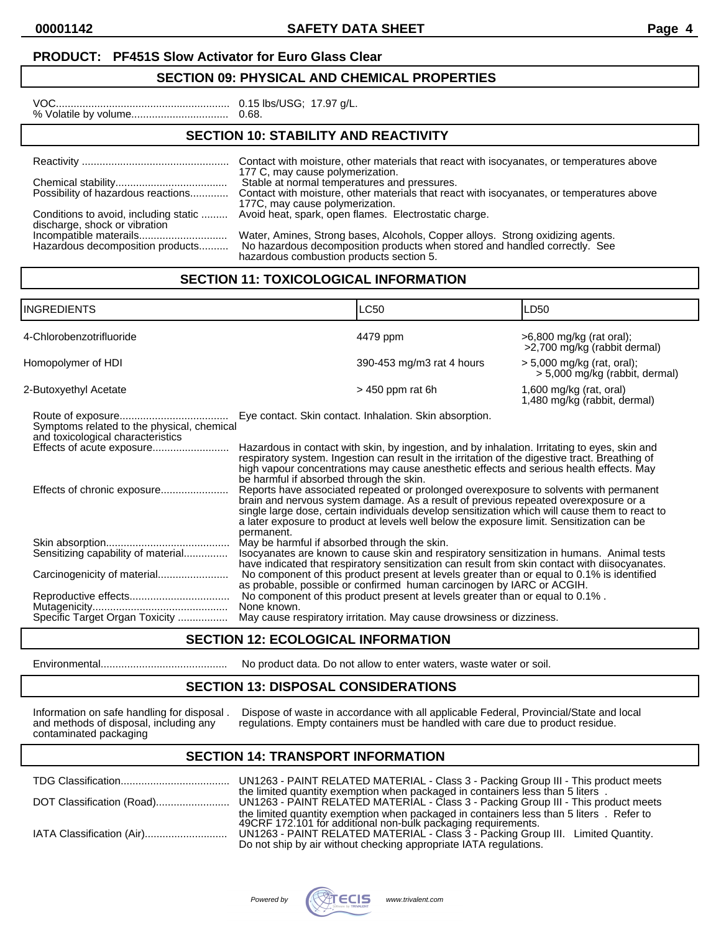**00001142 SAFETY DATA SHEET Page 4**

#### **PRODUCT: PF451S Slow Activator for Euro Glass Clear**

#### **SECTION 09: PHYSICAL AND CHEMICAL PROPERTIES**

| 0.151 |
|-------|
| 0.68  |

lbs/USG; 17.97 g/L.

# **SECTION 10: STABILITY AND REACTIVITY**

|                                                                        | Contact with moisture, other materials that react with isocyanates, or temperatures above<br>177 C, may cause polymerization.                                                                            |
|------------------------------------------------------------------------|----------------------------------------------------------------------------------------------------------------------------------------------------------------------------------------------------------|
| Possibility of hazardous reactions                                     | Stable at normal temperatures and pressures.<br>Contact with moisture, other materials that react with isocyanates, or temperatures above<br>177C, may cause polymerization.                             |
| Conditions to avoid, including static<br>discharge, shock or vibration | Avoid heat, spark, open flames. Electrostatic charge.                                                                                                                                                    |
| Hazardous decomposition products                                       | Water, Amines, Strong bases, Alcohols, Copper alloys. Strong oxidizing agents.<br>No hazardous decomposition products when stored and handled correctly. See<br>hazardous combustion products section 5. |

# **SECTION 11: TOXICOLOGICAL INFORMATION**

| <b>INGREDIENTS</b>                                                              |                                                                                                                                                                                                                                                                                                                                                                                                                                                                                                                                                                                                                                                                                                                                                                                                                 | <b>LC50</b>                                                                                                                                                                                | LD50                                                         |
|---------------------------------------------------------------------------------|-----------------------------------------------------------------------------------------------------------------------------------------------------------------------------------------------------------------------------------------------------------------------------------------------------------------------------------------------------------------------------------------------------------------------------------------------------------------------------------------------------------------------------------------------------------------------------------------------------------------------------------------------------------------------------------------------------------------------------------------------------------------------------------------------------------------|--------------------------------------------------------------------------------------------------------------------------------------------------------------------------------------------|--------------------------------------------------------------|
| 4-Chlorobenzotrifluoride                                                        |                                                                                                                                                                                                                                                                                                                                                                                                                                                                                                                                                                                                                                                                                                                                                                                                                 | 4479 ppm                                                                                                                                                                                   | >6,800 mg/kg (rat oral);<br>>2,700 mg/kg (rabbit dermal)     |
| Homopolymer of HDI                                                              |                                                                                                                                                                                                                                                                                                                                                                                                                                                                                                                                                                                                                                                                                                                                                                                                                 | 390-453 mg/m3 rat 4 hours                                                                                                                                                                  | > 5,000 mg/kg (rat, oral);<br>> 5,000 mg/kg (rabbit, dermal) |
| 2-Butoxyethyl Acetate                                                           |                                                                                                                                                                                                                                                                                                                                                                                                                                                                                                                                                                                                                                                                                                                                                                                                                 | $>$ 450 ppm rat 6h                                                                                                                                                                         | 1,600 mg/kg (rat, oral)<br>1,480 mg/kg (rabbit, dermal)      |
| Symptoms related to the physical, chemical<br>and toxicological characteristics | Eye contact. Skin contact. Inhalation. Skin absorption.                                                                                                                                                                                                                                                                                                                                                                                                                                                                                                                                                                                                                                                                                                                                                         | Hazardous in contact with skin, by ingestion, and by inhalation. Irritating to eyes, skin and                                                                                              |                                                              |
|                                                                                 | be harmful if absorbed through the skin.                                                                                                                                                                                                                                                                                                                                                                                                                                                                                                                                                                                                                                                                                                                                                                        | respiratory system. Ingestion can result in the irritation of the digestive tract. Breathing of<br>high vapour concentrations may cause anesthetic effects and serious health effects. May |                                                              |
|                                                                                 | Reports have associated repeated or prolonged overexposure to solvents with permanent<br>brain and nervous system damage. As a result of previous repeated overexposure or a<br>single large dose, certain individuals develop sensitization which will cause them to react to<br>a later exposure to product at levels well below the exposure limit. Sensitization can be<br>permanent.<br>May be harmful if absorbed through the skin.<br>Isocyanates are known to cause skin and respiratory sensitization in humans. Animal tests<br>have indicated that respiratory sensitization can result from skin contact with diisocyanates.<br>No component of this product present at levels greater than or equal to 0.1% is identified<br>as probable, possible or confirmed human carcinogen by IARC or ACGIH. |                                                                                                                                                                                            |                                                              |
| Sensitizing capability of material                                              |                                                                                                                                                                                                                                                                                                                                                                                                                                                                                                                                                                                                                                                                                                                                                                                                                 |                                                                                                                                                                                            |                                                              |
| Carcinogenicity of material                                                     |                                                                                                                                                                                                                                                                                                                                                                                                                                                                                                                                                                                                                                                                                                                                                                                                                 |                                                                                                                                                                                            |                                                              |
| Specific Target Organ Toxicity                                                  | None known.                                                                                                                                                                                                                                                                                                                                                                                                                                                                                                                                                                                                                                                                                                                                                                                                     | No component of this product present at levels greater than or equal to 0.1%.<br>May cause respiratory irritation. May cause drowsiness or dizziness.                                      |                                                              |

## **SECTION 12: ECOLOGICAL INFORMATION**

Environmental........................................... No product data. Do not allow to enter waters, waste water or soil.

## **SECTION 13: DISPOSAL CONSIDERATIONS**

Information on safe handling for disposal .<br>and methods of disposal, including any<br>contaminated packaging

Information on safe handling for disposal . Dispose of waste in accordance with all applicable Federal, Provincial/State and local and methods of disposal, including any regulations. Empty containers must be handled with care due to product residue.

#### **SECTION 14: TRANSPORT INFORMATION**

|                           | the limited quantity exemption when packaged in containers less than 5 liters.                                                                        |
|---------------------------|-------------------------------------------------------------------------------------------------------------------------------------------------------|
|                           |                                                                                                                                                       |
|                           | the limited quantity exemption when packaged in containers less than 5 liters. Refer to 49CRF 172.101 for additional non-bulk packaging requirements. |
| IATA Classification (Air) | UN1263 - PAINT RELATED MATERIAL - Class 3 - Packing Group III. Limited Quantity.<br>Do not ship by air without checking appropriate IATA regulations. |